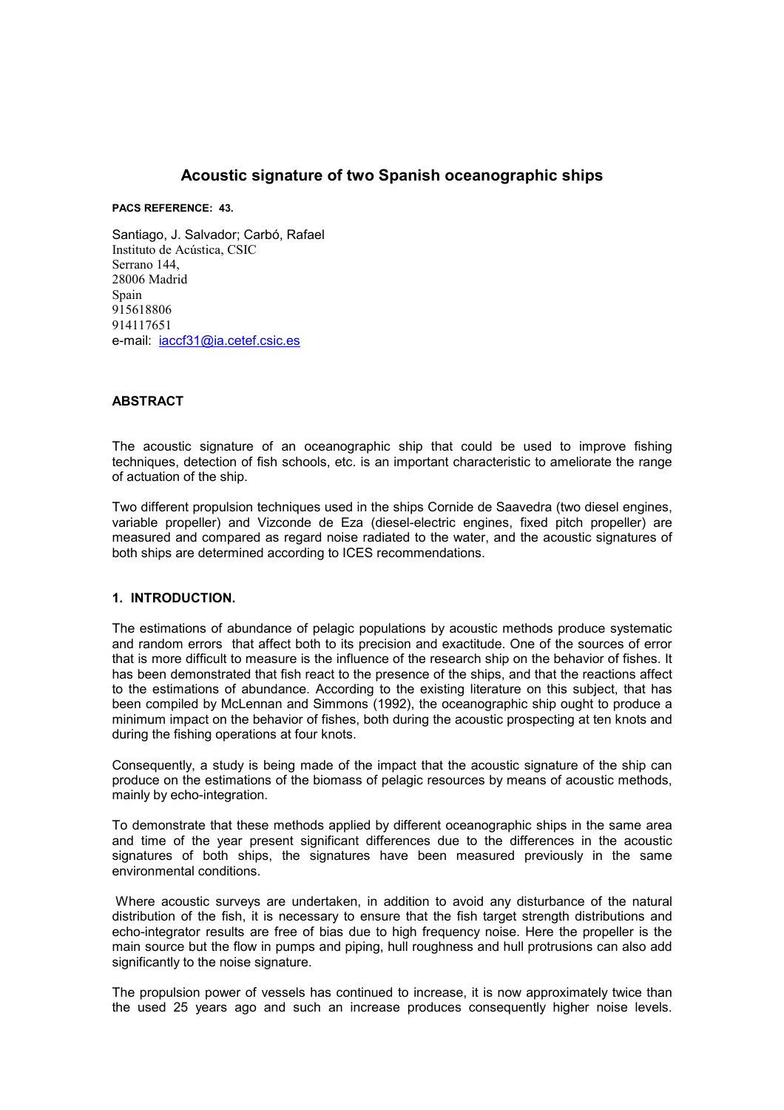# **Acoustic signature of two Spanish oceanographic ships**

**PACS REFERENCE: 43.** 

Santiago, J. Salvador; Carbó, Rafael Instituto de Acústica, CSIC Serrano 144, 28006 Madrid Spain 915618806 914117651 e-mail: [iaccf31@ia.cetef.csic.es](mailto:iaccf31@ia.cetef.csic.es)

#### **ABSTRACT**

The acoustic signature of an oceanographic ship that could be used to improve fishing techniques, detection of fish schools, etc. is an important characteristic to ameliorate the range of actuation of the ship.

Two different propulsion techniques used in the ships Cornide de Saavedra (two diesel engines, variable propeller) and Vizconde de Eza (diesel-electric engines, fixed pitch propeller) are measured and compared as regard noise radiated to the water, and the acoustic signatures of both ships are determined according to ICES recommendations.

#### **1. INTRODUCTION.**

The estimations of abundance of pelagic populations by acoustic methods produce systematic and random errors that affect both to its precision and exactitude. One of the sources of error that is more difficult to measure is the influence of the research ship on the behavior of fishes. It has been demonstrated that fish react to the presence of the ships, and that the reactions affect to the estimations of abundance. According to the existing literature on this subject, that has been compiled by McLennan and Simmons (1992), the oceanographic ship ought to produce a minimum impact on the behavior of fishes, both during the acoustic prospecting at ten knots and during the fishing operations at four knots.

Consequently, a study is being made of the impact that the acoustic signature of the ship can produce on the estimations of the biomass of pelagic resources by means of acoustic methods, mainly by echo-integration.

To demonstrate that these methods applied by different oceanographic ships in the same area and time of the year present significant differences due to the differences in the acoustic signatures of both ships, the signatures have been measured previously in the same environmental conditions.

 Where acoustic surveys are undertaken, in addition to avoid any disturbance of the natural distribution of the fish, it is necessary to ensure that the fish target strength distributions and echo-integrator results are free of bias due to high frequency noise. Here the propeller is the main source but the flow in pumps and piping, hull roughness and hull protrusions can also add significantly to the noise signature.

The propulsion power of vessels has continued to increase, it is now approximately twice than the used 25 years ago and such an increase produces consequently higher noise levels.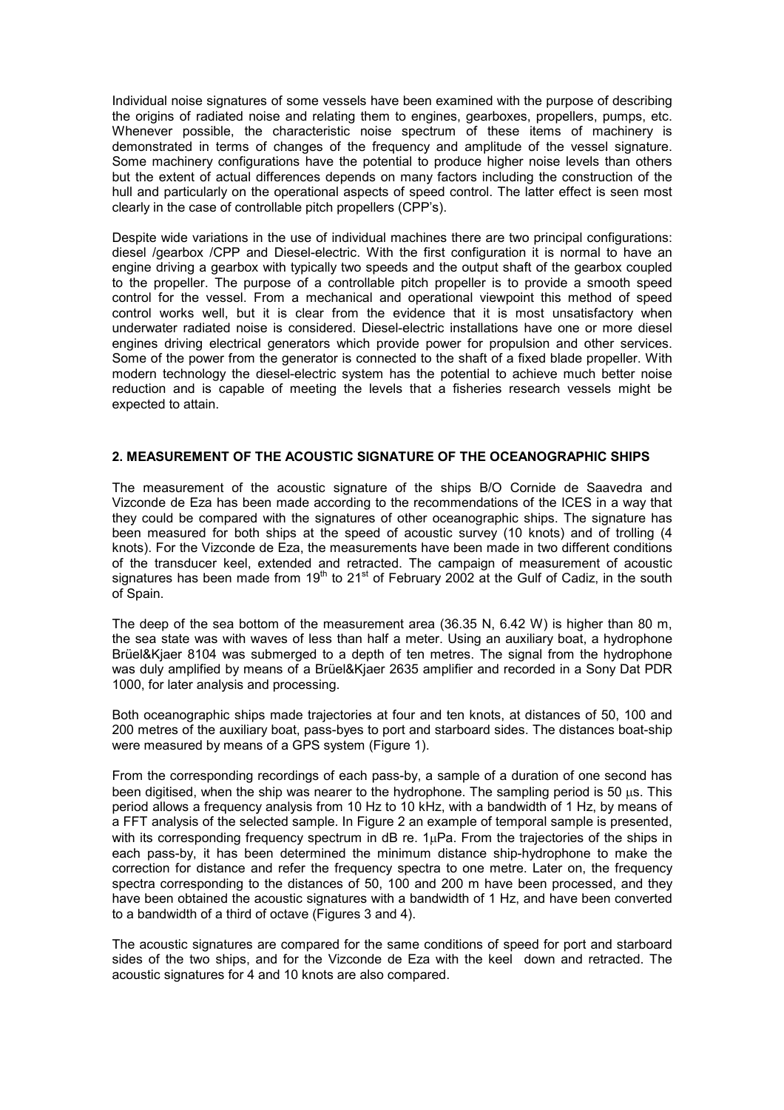Individual noise signatures of some vessels have been examined with the purpose of describing the origins of radiated noise and relating them to engines, gearboxes, propellers, pumps, etc. Whenever possible, the characteristic noise spectrum of these items of machinery is demonstrated in terms of changes of the frequency and amplitude of the vessel signature. Some machinery configurations have the potential to produce higher noise levels than others but the extent of actual differences depends on many factors including the construction of the hull and particularly on the operational aspects of speed control. The latter effect is seen most clearly in the case of controllable pitch propellers (CPP's).

Despite wide variations in the use of individual machines there are two principal configurations: diesel /gearbox /CPP and Diesel-electric. With the first configuration it is normal to have an engine driving a gearbox with typically two speeds and the output shaft of the gearbox coupled to the propeller. The purpose of a controllable pitch propeller is to provide a smooth speed control for the vessel. From a mechanical and operational viewpoint this method of speed control works well, but it is clear from the evidence that it is most unsatisfactory when underwater radiated noise is considered. Diesel-electric installations have one or more diesel engines driving electrical generators which provide power for propulsion and other services. Some of the power from the generator is connected to the shaft of a fixed blade propeller. With modern technology the diesel-electric system has the potential to achieve much better noise reduction and is capable of meeting the levels that a fisheries research vessels might be expected to attain.

## **2. MEASUREMENT OF THE ACOUSTIC SIGNATURE OF THE OCEANOGRAPHIC SHIPS**

The measurement of the acoustic signature of the ships B/O Cornide de Saavedra and Vizconde de Eza has been made according to the recommendations of the ICES in a way that they could be compared with the signatures of other oceanographic ships. The signature has been measured for both ships at the speed of acoustic survey (10 knots) and of trolling (4 knots). For the Vizconde de Eza, the measurements have been made in two different conditions of the transducer keel, extended and retracted. The campaign of measurement of acoustic signatures has been made from  $19<sup>th</sup>$  to 21<sup>st</sup> of February 2002 at the Gulf of Cadiz, in the south of Spain.

The deep of the sea bottom of the measurement area (36.35 N, 6.42 W) is higher than 80 m, the sea state was with waves of less than half a meter. Using an auxiliary boat, a hydrophone Brüel&Kjaer 8104 was submerged to a depth of ten metres. The signal from the hydrophone was duly amplified by means of a Brüel&Kjaer 2635 amplifier and recorded in a Sony Dat PDR 1000, for later analysis and processing.

Both oceanographic ships made trajectories at four and ten knots, at distances of 50, 100 and 200 metres of the auxiliary boat, pass-byes to port and starboard sides. The distances boat-ship were measured by means of a GPS system (Figure 1).

From the corresponding recordings of each pass-by, a sample of a duration of one second has been digitised, when the ship was nearer to the hydrophone. The sampling period is 50 us. This period allows a frequency analysis from 10 Hz to 10 kHz, with a bandwidth of 1 Hz, by means of a FFT analysis of the selected sample. In Figure 2 an example of temporal sample is presented, with its corresponding frequency spectrum in dB re.  $1\mu$ Pa. From the trajectories of the ships in each pass-by, it has been determined the minimum distance ship-hydrophone to make the correction for distance and refer the frequency spectra to one metre. Later on, the frequency spectra corresponding to the distances of 50, 100 and 200 m have been processed, and they have been obtained the acoustic signatures with a bandwidth of 1 Hz, and have been converted to a bandwidth of a third of octave (Figures 3 and 4).

The acoustic signatures are compared for the same conditions of speed for port and starboard sides of the two ships, and for the Vizconde de Eza with the keel down and retracted. The acoustic signatures for 4 and 10 knots are also compared.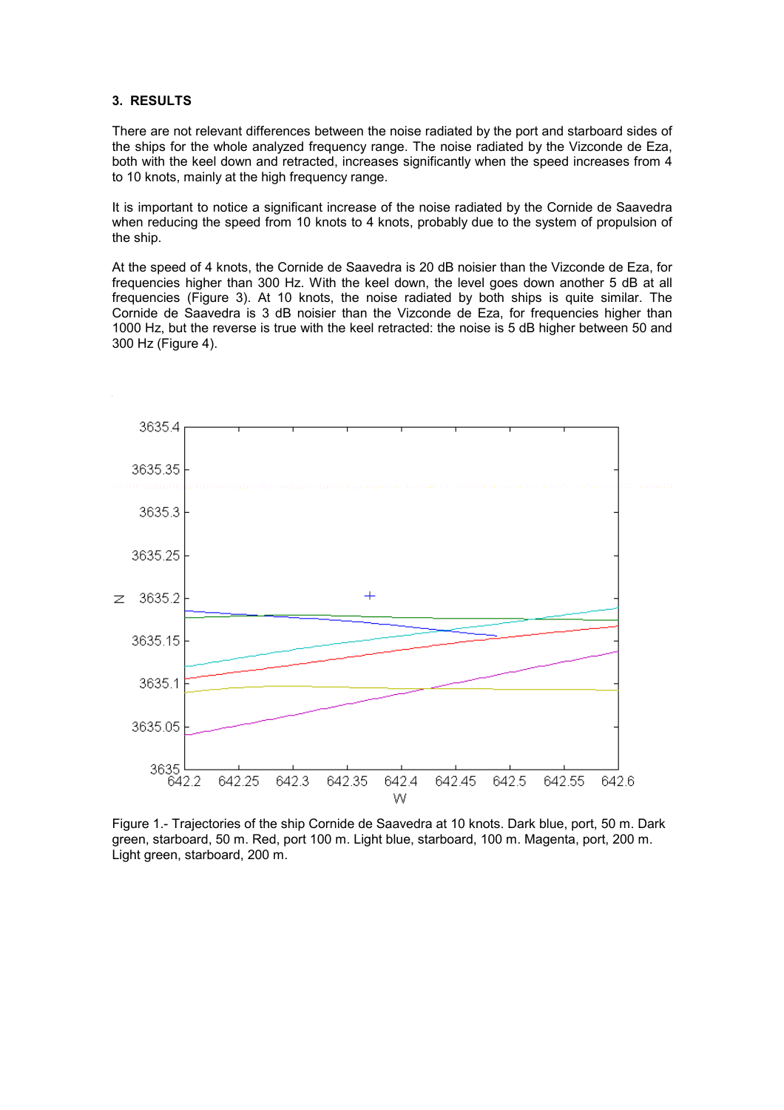## **3. RESULTS**

There are not relevant differences between the noise radiated by the port and starboard sides of the ships for the whole analyzed frequency range. The noise radiated by the Vizconde de Eza, both with the keel down and retracted, increases significantly when the speed increases from 4 to 10 knots, mainly at the high frequency range.

It is important to notice a significant increase of the noise radiated by the Cornide de Saavedra when reducing the speed from 10 knots to 4 knots, probably due to the system of propulsion of the ship.

At the speed of 4 knots, the Cornide de Saavedra is 20 dB noisier than the Vizconde de Eza, for frequencies higher than 300 Hz. With the keel down, the level goes down another 5 dB at all frequencies (Figure 3). At 10 knots, the noise radiated by both ships is quite similar. The Cornide de Saavedra is 3 dB noisier than the Vizconde de Eza, for frequencies higher than 1000 Hz, but the reverse is true with the keel retracted: the noise is 5 dB higher between 50 and 300 Hz (Figure 4).



Figure 1.- Trajectories of the ship Cornide de Saavedra at 10 knots. Dark blue, port, 50 m. Dark green, starboard, 50 m. Red, port 100 m. Light blue, starboard, 100 m. Magenta, port, 200 m. Light green, starboard, 200 m.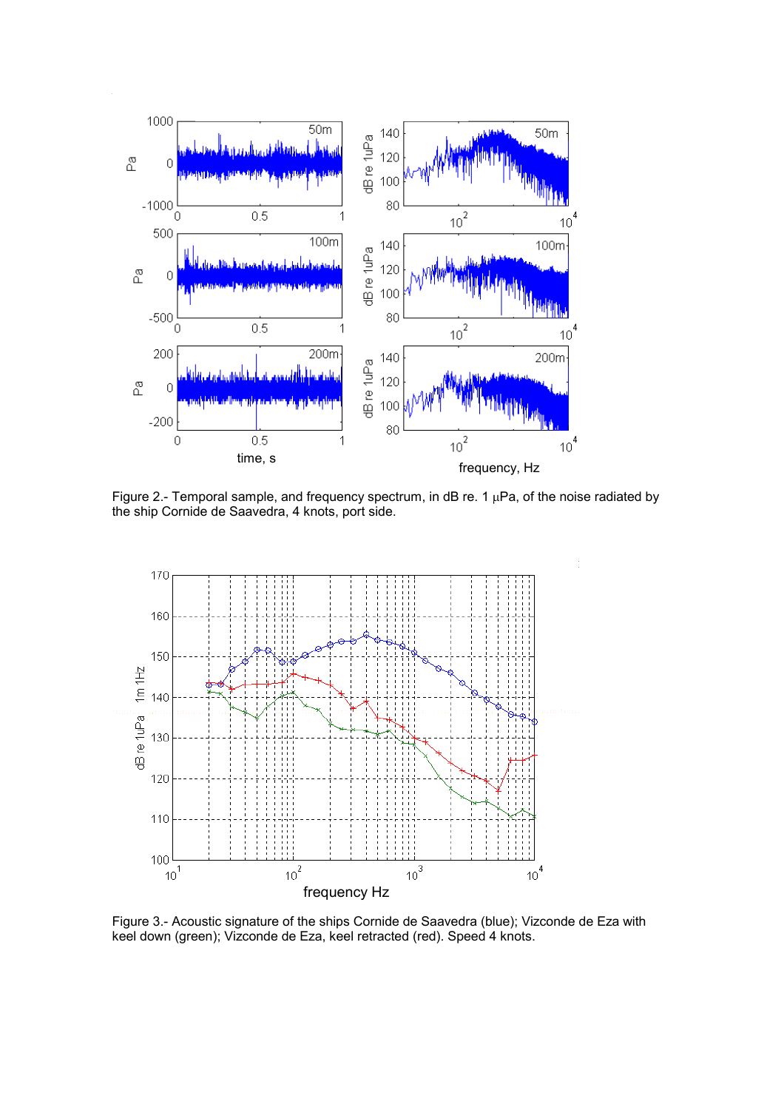

Figure 2.- Temporal sample, and frequency spectrum, in dB re. 1  $\mu$ Pa, of the noise radiated by the ship Cornide de Saavedra, 4 knots, port side.



Figure 3.- Acoustic signature of the ships Cornide de Saavedra (blue); Vizconde de Eza with keel down (green); Vizconde de Eza, keel retracted (red). Speed 4 knots.